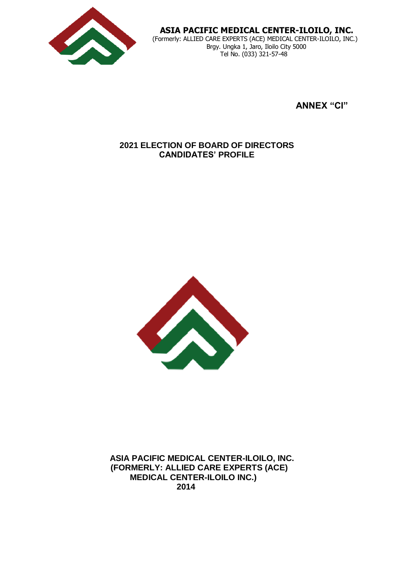

 **ASIA PACIFIC MEDICAL CENTER-ILOILO, INC.** (Formerly: ALLIED CARE EXPERTS (ACE) MEDICAL CENTER-ILOILO, INC.) Brgy. Ungka 1, Jaro, Iloilo City 5000 Tel No. (033) 321-57-48

**ANNEX "CI"**

# **2021 ELECTION OF BOARD OF DIRECTORS CANDIDATES' PROFILE**



 **ASIA PACIFIC MEDICAL CENTER-ILOILO, INC. (FORMERLY: ALLIED CARE EXPERTS (ACE) MEDICAL CENTER-ILOILO INC.) 2014**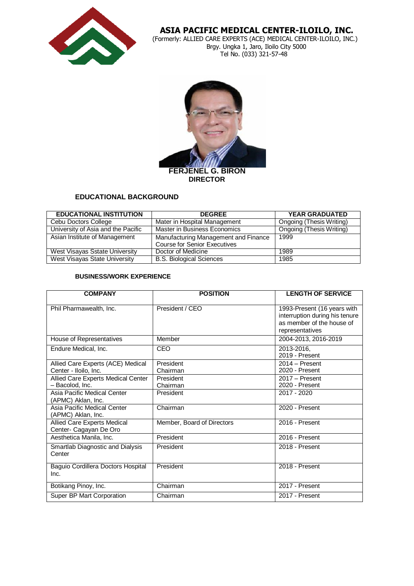

 (Formerly: ALLIED CARE EXPERTS (ACE) MEDICAL CENTER-ILOILO, INC.) Brgy. Ungka 1, Jaro, Iloilo City 5000 Tel No. (033) 321-57-48



### **EDUCATIONAL BACKGROUND**

| <b>EDUCATIONAL INSTITUTION</b>       | <b>DEGREE</b>                                                               | <b>YEAR GRADUATED</b>           |
|--------------------------------------|-----------------------------------------------------------------------------|---------------------------------|
| Cebu Doctors College                 | Mater in Hospital Management                                                | Ongoing (Thesis Writing)        |
| University of Asia and the Pacific   | <b>Master in Business Economics</b>                                         | <b>Ongoing (Thesis Writing)</b> |
| Asian Institute of Management        | Manufacturing Management and Finance<br><b>Course for Senior Executives</b> | 1999                            |
| West Visayas Sstate University       | Doctor of Medicine                                                          | 1989                            |
| <b>West Visayas State University</b> | <b>B.S. Biological Sciences</b>                                             | 1985                            |

| <b>COMPANY</b>                                             | <b>POSITION</b>            | <b>LENGTH OF SERVICE</b>                                                                                      |
|------------------------------------------------------------|----------------------------|---------------------------------------------------------------------------------------------------------------|
| Phil Pharmawealth, Inc.                                    | President / CEO            | 1993-Present (16 years with<br>interruption during his tenure<br>as member of the house of<br>representatives |
| House of Representatives                                   | Member                     | 2004-2013, 2016-2019                                                                                          |
| Endure Medical, Inc.                                       | CEO                        | 2013-2016,<br>2019 - Present                                                                                  |
| Allied Care Experts (ACE) Medical<br>Center - Iloilo, Inc. | President<br>Chairman      | $2014 -$ Present<br>2020 - Present                                                                            |
| Allied Care Experts Medical Center<br>- Bacolod, Inc.      | President<br>Chairman      | $2017 -$ Present<br>2020 - Present                                                                            |
| Asia Pacific Medical Center<br>(APMC) Aklan, Inc.          | President                  | 2017 - 2020                                                                                                   |
| Asia Pacific Medical Center<br>(APMC) Aklan, Inc.          | Chairman                   | 2020 - Present                                                                                                |
| Allied Care Experts Medical<br>Center- Cagayan De Oro      | Member, Board of Directors | 2016 - Present                                                                                                |
| Aesthetica Manila, Inc.                                    | President                  | 2016 - Present                                                                                                |
| Smartlab Diagnostic and Dialysis<br>Center                 | President                  | 2018 - Present                                                                                                |
| Baguio Cordillera Doctors Hospital<br>Inc.                 | President                  | 2018 - Present                                                                                                |
| Botikang Pinoy, Inc.                                       | Chairman                   | 2017 - Present                                                                                                |
| Super BP Mart Corporation                                  | Chairman                   | 2017 - Present                                                                                                |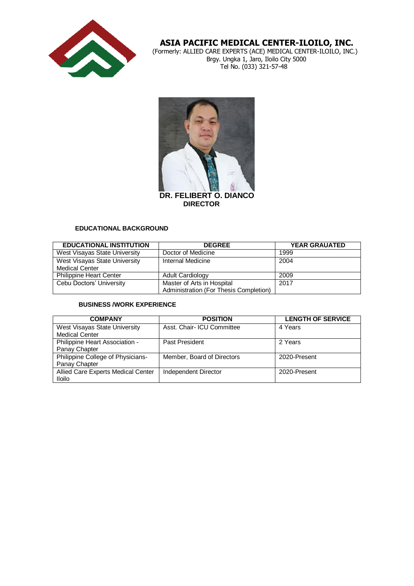

 (Formerly: ALLIED CARE EXPERTS (ACE) MEDICAL CENTER-ILOILO, INC.) Brgy. Ungka 1, Jaro, Iloilo City 5000 Tel No. (033) 321-57-48



### **EDUCATIONAL BACKGROUND**

| <b>EDUCATIONAL INSTITUTION</b> | <b>DEGREE</b>                          | <b>YEAR GRAUATED</b> |
|--------------------------------|----------------------------------------|----------------------|
| West Visayas State University  | Doctor of Medicine                     | 1999                 |
| West Visayas State University  | Internal Medicine                      | 2004                 |
| <b>Medical Center</b>          |                                        |                      |
| <b>Philippine Heart Center</b> | Adult Cardiology                       | 2009                 |
| Cebu Doctors' University       | Master of Arts in Hospital             | 2017                 |
|                                | Administration (For Thesis Completion) |                      |

| <b>COMPANY</b>                     | <b>POSITION</b>            | <b>LENGTH OF SERVICE</b> |
|------------------------------------|----------------------------|--------------------------|
| West Visayas State University      | Asst. Chair- ICU Committee | 4 Years                  |
| <b>Medical Center</b>              |                            |                          |
| Philippine Heart Association -     | Past President             | 2 Years                  |
| Panay Chapter                      |                            |                          |
| Philippine College of Physicians-  | Member, Board of Directors | 2020-Present             |
| Panay Chapter                      |                            |                          |
| Allied Care Experts Medical Center | Independent Director       | 2020-Present             |
| <b>Iloilo</b>                      |                            |                          |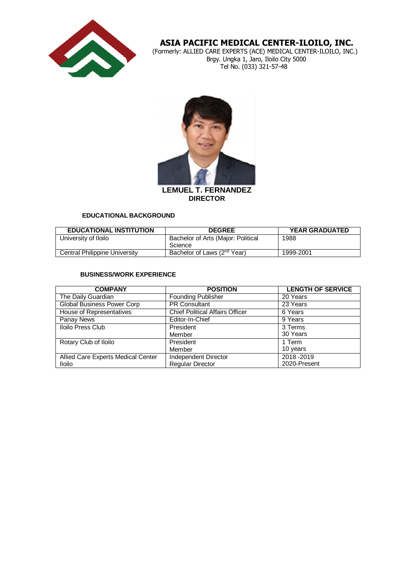

 (Formerly: ALLIED CARE EXPERTS (ACE) MEDICAL CENTER-ILOILO, INC.) Brgy. Ungka 1, Jaro, Iloilo City 5000 Tel No. (033) 321-57-48



#### **EDUCATIONAL BACKGROUND**

| <b>EDUCATIONAL INSTITUTION</b> | <b>DEGREE</b>                           | <b>YEAR GRADUATED</b> |
|--------------------------------|-----------------------------------------|-----------------------|
| University of Iloilo           | Bachelor of Arts (Major: Political      | 1988                  |
|                                | Science                                 |                       |
| Central Philippine University  | Bachelor of Laws (2 <sup>nd</sup> Year) | 1999-2001             |

| <b>COMPANY</b>                     | <b>POSITION</b>                        | <b>LENGTH OF SERVICE</b> |
|------------------------------------|----------------------------------------|--------------------------|
| The Daily Guardian                 | <b>Founding Publisher</b>              | 20 Years                 |
| <b>Global Business Power Corp</b>  | <b>PR Consultant</b>                   | 23 Years                 |
| <b>House of Representatives</b>    | <b>Chief Political Affairs Officer</b> | 6 Years                  |
| <b>Panay News</b>                  | Editor-In-Chief                        | 9 Years                  |
| <b>Iloilo Press Club</b>           | President                              | 3 Terms                  |
|                                    | Member                                 | 30 Years                 |
| Rotary Club of Iloilo              | President                              | 1 Term                   |
|                                    | Member                                 | 10 years                 |
| Allied Care Experts Medical Center | Independent Director                   | 2018-2019                |
| <b>Iloilo</b>                      | <b>Regular Director</b>                | 2020-Present             |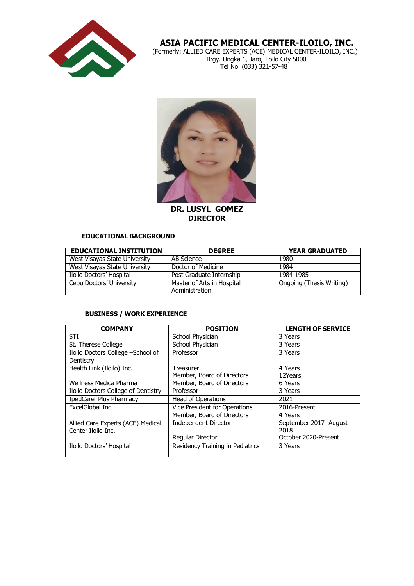

 (Formerly: ALLIED CARE EXPERTS (ACE) MEDICAL CENTER-ILOILO, INC.) Brgy. Ungka 1, Jaro, Iloilo City 5000 Tel No. (033) 321-57-48



**DR. LUSYL GOMEZ DIRECTOR**

### **EDUCATIONAL BACKGROUND**

| <b>EDUCATIONAL INSTITUTION</b> | <b>DEGREE</b>                                | <b>YEAR GRADUATED</b>    |
|--------------------------------|----------------------------------------------|--------------------------|
| West Visayas State University  | AB Science                                   | 1980                     |
| West Visayas State University  | Doctor of Medicine                           | 1984                     |
| Iloilo Doctors' Hospital       | Post Graduate Internship                     | 1984-1985                |
| Cebu Doctors' University       | Master of Arts in Hospital<br>Administration | Ongoing (Thesis Writing) |

| <b>COMPANY</b>                      | <b>POSITION</b>                  | <b>LENGTH OF SERVICE</b> |
|-------------------------------------|----------------------------------|--------------------------|
| STI                                 | School Physician                 | 3 Years                  |
| St. Therese College                 | School Physician                 | 3 Years                  |
| Iloilo Doctors College - School of  | Professor                        | 3 Years                  |
| Dentistry                           |                                  |                          |
| Health Link (Iloilo) Inc.           | Treasurer                        | 4 Years                  |
|                                     | Member, Board of Directors       | 12Years                  |
| Wellness Medica Pharma              | Member, Board of Directors       | 6 Years                  |
| Iloilo Doctors College of Dentistry | Professor                        | 3 Years                  |
| IpedCare Plus Pharmacy.             | Head of Operations               | 2021                     |
| ExcelGlobal Inc.                    | Vice President for Operations    | 2016-Present             |
|                                     | Member, Board of Directors       | 4 Years                  |
| Allied Care Experts (ACE) Medical   | <b>Independent Director</b>      | September 2017- August   |
| Center Iloilo Inc.                  |                                  | 2018                     |
|                                     | Regular Director                 | October 2020-Present     |
| Iloilo Doctors' Hospital            | Residency Training in Pediatrics | 3 Years                  |
|                                     |                                  |                          |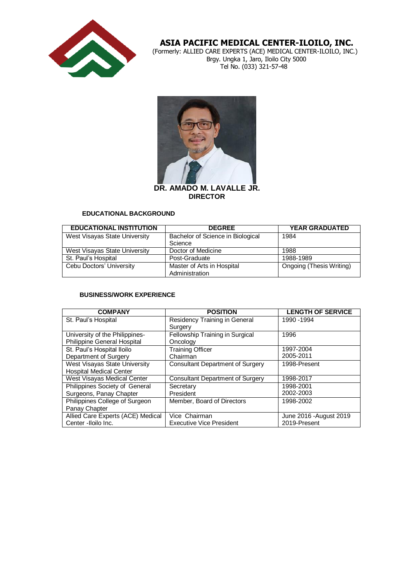

 (Formerly: ALLIED CARE EXPERTS (ACE) MEDICAL CENTER-ILOILO, INC.) Brgy. Ungka 1, Jaro, Iloilo City 5000 Tel No. (033) 321-57-48



### **EDUCATIONAL BACKGROUND**

| <b>EDUCATIONAL INSTITUTION</b> | <b>DEGREE</b>                     | <b>YEAR GRADUATED</b>    |
|--------------------------------|-----------------------------------|--------------------------|
| West Visayas State University  | Bachelor of Science in Biological | 1984                     |
|                                | Science                           |                          |
| West Visayas State University  | Doctor of Medicine                | 1988                     |
| St. Paul's Hospital            | Post-Graduate                     | 1988-1989                |
| Cebu Doctors' University       | Master of Arts in Hospital        | Ongoing (Thesis Writing) |
|                                | Administration                    |                          |

| <b>COMPANY</b>                     | <b>POSITION</b>                         | <b>LENGTH OF SERVICE</b> |
|------------------------------------|-----------------------------------------|--------------------------|
| St. Paul's Hospital                | Residency Training in General           | 1990 - 1994              |
|                                    | Surgery                                 |                          |
| University of the Philippines-     | Fellowship Training in Surgical         | 1996                     |
| Philippine General Hospital        | Oncology                                |                          |
| St. Paul's Hospital Iloilo         | <b>Training Officer</b>                 | 1997-2004                |
| Department of Surgery              | Chairman                                | 2005-2011                |
| West Visayas State University      | <b>Consultant Department of Surgery</b> | 1998-Present             |
| <b>Hospital Medical Center</b>     |                                         |                          |
| <b>West Visayas Medical Center</b> | <b>Consultant Department of Surgery</b> | 1998-2017                |
| Philippines Society of General     | Secretary                               | 1998-2001                |
| Surgeons, Panay Chapter            | President                               | 2002-2003                |
| Philippines College of Surgeon     | Member, Board of Directors              | 1998-2002                |
| Panay Chapter                      |                                         |                          |
| Allied Care Experts (ACE) Medical  | Vice Chairman                           | June 2016 - August 2019  |
| Center - Iloilo Inc.               | <b>Executive Vice President</b>         | 2019-Present             |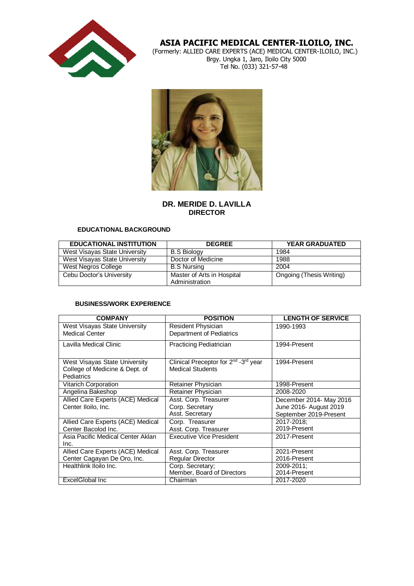![](_page_6_Picture_0.jpeg)

 (Formerly: ALLIED CARE EXPERTS (ACE) MEDICAL CENTER-ILOILO, INC.) Brgy. Ungka 1, Jaro, Iloilo City 5000 Tel No. (033) 321-57-48

![](_page_6_Picture_3.jpeg)

### **DR. MERIDE D. LAVILLA DIRECTOR**

### **EDUCATIONAL BACKGROUND**

| <b>EDUCATIONAL INSTITUTION</b> | <b>DEGREE</b>              | <b>YEAR GRADUATED</b>    |
|--------------------------------|----------------------------|--------------------------|
| West Visayas State University  | <b>B.S Biology</b>         | 1984                     |
| West Visayas State University  | Doctor of Medicine         | 1988                     |
| West Negros College            | <b>B.S Nursing</b>         | 2004                     |
| Cebu Doctor's University       | Master of Arts in Hospital | Ongoing (Thesis Writing) |
|                                | Administration             |                          |

| <b>COMPANY</b>                                                                       | <b>POSITION</b>                                                                         | <b>LENGTH OF SERVICE</b> |
|--------------------------------------------------------------------------------------|-----------------------------------------------------------------------------------------|--------------------------|
| West Visayas State University<br><b>Medical Center</b>                               | Resident Physician<br>Department of Pediatrics                                          | 1990-1993                |
| Lavilla Medical Clinic                                                               | Practicing Pediatrician                                                                 | 1994-Present             |
| West Visayas State University<br>College of Medicine & Dept. of<br><b>Pediatrics</b> | Clinical Preceptor for 2 <sup>nd</sup> -3 <sup>rd</sup> year<br><b>Medical Students</b> | 1994-Present             |
| <b>Vitarich Corporation</b>                                                          | Retainer Physician                                                                      | 1998-Present             |
| Angelina Bakeshop                                                                    | <b>Retainer Physician</b>                                                               | 2008-2020                |
| Allied Care Experts (ACE) Medical                                                    | Asst. Corp. Treasurer                                                                   | December 2014- May 2016  |
| Center Iloilo, Inc.                                                                  | Corp. Secretary                                                                         | June 2016- August 2019   |
|                                                                                      | Asst. Secretary                                                                         | September 2019-Present   |
| Allied Care Experts (ACE) Medical                                                    | Corp. Treasurer                                                                         | 2017-2018;               |
| Center Bacolod Inc.                                                                  | Asst. Corp. Treasurer                                                                   | 2019-Present             |
| Asia Pacific Medical Center Aklan<br>Inc.                                            | <b>Executive Vice President</b>                                                         | 2017-Present             |
| Allied Care Experts (ACE) Medical                                                    | Asst. Corp. Treasurer                                                                   | 2021-Present             |
| Center Cagayan De Oro, Inc.                                                          | <b>Regular Director</b>                                                                 | 2016-Present             |
| Healthlink Iloilo Inc.                                                               | Corp. Secretary;                                                                        | 2009-2011;               |
|                                                                                      | Member, Board of Directors                                                              | 2014-Present             |
| ExcelGlobal Inc                                                                      | Chairman                                                                                | 2017-2020                |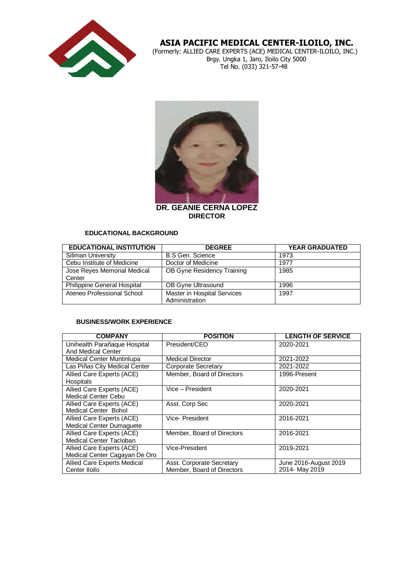![](_page_7_Picture_0.jpeg)

 (Formerly: ALLIED CARE EXPERTS (ACE) MEDICAL CENTER-ILOILO, INC.) Brgy. Ungka 1, Jaro, Iloilo City 5000 Tel No. (033) 321-57-48

![](_page_7_Picture_3.jpeg)

**DR. GEANIE CERNA LOPEZ DIRECTOR**

#### **EDUCATIONAL BACKGROUND**

| <b>EDUCATIONAL INSTITUTION</b>        | <b>DEGREE</b>                                 | <b>YEAR GRADUATED</b> |
|---------------------------------------|-----------------------------------------------|-----------------------|
| Siliman University                    | <b>B.S Gen. Science</b>                       | 1973                  |
| Cebu Institute of Medicine            | Doctor of Medicine                            | 1977                  |
| Jose Reyes Memorial Medical<br>Center | OB Gyne Residency Training                    | 1985                  |
| <b>Philippine General Hospital</b>    | OB Gyne Ultrasound                            | 1996                  |
| Ateneo Professional School            | Master in Hospital Services<br>Administration | 1997                  |

| <b>COMPANY</b>                     | <b>POSITION</b>            | <b>LENGTH OF SERVICE</b> |
|------------------------------------|----------------------------|--------------------------|
| Unihealth Parañaque Hospital       | President/CEO              | 2020-2021                |
| And Medical Center                 |                            |                          |
| Medical Center Muntinlupa          | <b>Medical Director</b>    | 2021-2022                |
| Las Piñas City Medical Center      | <b>Corporate Secretary</b> | 2021-2022                |
| Allied Care Experts (ACE)          | Member, Board of Directors | 1996-Present             |
| Hospitals                          |                            |                          |
| Allied Care Experts (ACE)          | Vice - President           | 2020-2021                |
| Medical Center Cebu                |                            |                          |
| Allied Care Experts (ACE)          | Asst. Corp Sec             | 2020-2021                |
| Medical Center Bohol               |                            |                          |
| Allied Care Experts (ACE)          | Vice-President             | 2016-2021                |
| <b>Medical Center Dumaquete</b>    |                            |                          |
| Allied Care Experts (ACE)          | Member, Board of Directors | 2016-2021                |
| Medical Center Tacloban            |                            |                          |
| Allied Care Experts (ACE)          | Vice-President             | 2019-2021                |
| Medical Center Cagayan De Oro      |                            |                          |
| <b>Allied Care Experts Medical</b> | Asst. Corporate Secretary  | June 2016-August 2019    |
| Center Iloilo                      | Member, Board of Directors | 2014- May 2019           |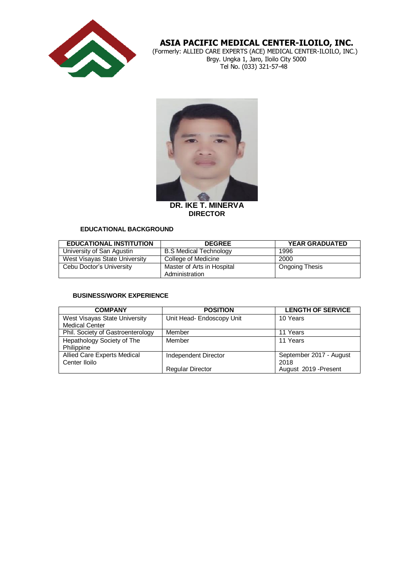![](_page_8_Picture_0.jpeg)

 (Formerly: ALLIED CARE EXPERTS (ACE) MEDICAL CENTER-ILOILO, INC.) Brgy. Ungka 1, Jaro, Iloilo City 5000 Tel No. (033) 321-57-48

![](_page_8_Picture_3.jpeg)

**DIRECTOR**

### **EDUCATIONAL BACKGROUND**

| <b>EDUCATIONAL INSTITUTION</b> | <b>DEGREE</b>                                | <b>YEAR GRADUATED</b> |
|--------------------------------|----------------------------------------------|-----------------------|
| University of San Agustin      | <b>B.S Medical Technology</b>                | 1996                  |
| West Visayas State University  | College of Medicine                          | 2000                  |
| Cebu Doctor's University       | Master of Arts in Hospital<br>Administration | Ongoing Thesis        |

| <b>COMPANY</b>                    | <b>POSITION</b>           | <b>LENGTH OF SERVICE</b> |
|-----------------------------------|---------------------------|--------------------------|
| West Visayas State University     | Unit Head- Endoscopy Unit | 10 Years                 |
| <b>Medical Center</b>             |                           |                          |
| Phil. Society of Gastroenterology | Member                    | 11 Years                 |
| Hepathology Society of The        | Member                    | 11 Years                 |
| Philippine                        |                           |                          |
| Allied Care Experts Medical       | Independent Director      | September 2017 - August  |
| Center Iloilo                     |                           | 2018                     |
|                                   | <b>Regular Director</b>   | August 2019 - Present    |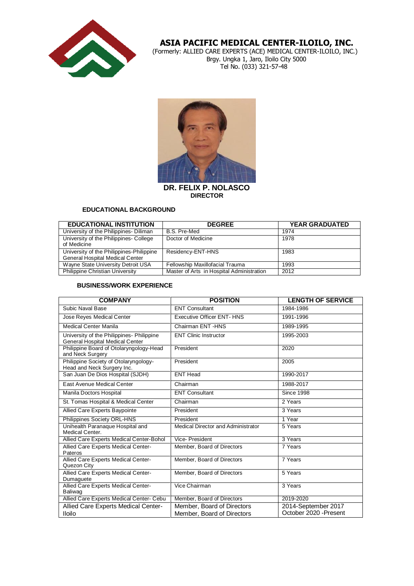![](_page_9_Picture_0.jpeg)

 (Formerly: ALLIED CARE EXPERTS (ACE) MEDICAL CENTER-ILOILO, INC.) Brgy. Ungka 1, Jaro, Iloilo City 5000 Tel No. (033) 321-57-48

![](_page_9_Picture_3.jpeg)

#### **EDUCATIONAL BACKGROUND**

| <b>EDUCATIONAL INSTITUTION</b>                                                     | <b>DEGREE</b>                             | <b>YEAR GRADUATED</b> |
|------------------------------------------------------------------------------------|-------------------------------------------|-----------------------|
| University of the Philippines-Diliman                                              | B.S. Pre-Med                              | 1974                  |
| University of the Philippines- College<br>of Medicine                              | Doctor of Medicine                        | 1978                  |
| University of the Philippines-Philippine<br><b>General Hospital Medical Center</b> | Residency-ENT-HNS                         | 1983                  |
| Wayne State University Detroit USA                                                 | Fellowship Maxillofacial Trauma           | 1993                  |
| Philippine Christian University                                                    | Master of Arts in Hospital Administration | 2012                  |

| <b>COMPANY</b>                                                                      | <b>POSITION</b>                                          | <b>LENGTH OF SERVICE</b>                      |
|-------------------------------------------------------------------------------------|----------------------------------------------------------|-----------------------------------------------|
| Subic Naval Base                                                                    | <b>ENT Consultant</b>                                    | 1984-1986                                     |
| Jose Reyes Medical Center                                                           | <b>Executive Officer ENT-HNS</b>                         | 1991-1996                                     |
| Medical Center Manila                                                               | Chairman ENT-HNS                                         | 1989-1995                                     |
| University of the Philippines- Philippine<br><b>General Hospital Medical Center</b> | <b>ENT Clinic Instructor</b>                             | 1995-2003                                     |
| Philippine Board of Otolaryngology-Head<br>and Neck Surgery                         | President                                                | 2020                                          |
| Philippine Society of Otolaryngology-<br>Head and Neck Surgery Inc.                 | President                                                | 2005                                          |
| San Juan De Dios Hospital (SJDH)                                                    | <b>ENT Head</b>                                          | 1990-2017                                     |
| East Avenue Medical Center                                                          | Chairman                                                 | 1988-2017                                     |
| Manila Doctors Hospital                                                             | <b>ENT Consultant</b>                                    | <b>Since 1998</b>                             |
| St. Tomas Hospital & Medical Center                                                 | Chairman                                                 | 2 Years                                       |
| <b>Allied Care Experts Baypointe</b>                                                | President                                                | 3 Years                                       |
| Philippines Society ORL-HNS                                                         | President                                                | 1 Year                                        |
| Unihealth Paranaque Hospital and<br>Medical Center.                                 | Medical Director and Administrator                       | 5 Years                                       |
| Allied Care Experts Medical Center-Bohol                                            | Vice-President                                           | 3 Years                                       |
| Allied Care Experts Medical Center-<br>Pateros                                      | Member, Board of Directors                               | 7 Years                                       |
| Allied Care Experts Medical Center-<br>Quezon City                                  | Member, Board of Directors                               | 7 Years                                       |
| Allied Care Experts Medical Center-<br>Dumaguete                                    | Member, Board of Directors                               | 5 Years                                       |
| Allied Care Experts Medical Center-<br>Baliwag                                      | Vice Chairman                                            | 3 Years                                       |
| Allied Care Experts Medical Center- Cebu                                            | Member, Board of Directors                               | 2019-2020                                     |
| <b>Allied Care Experts Medical Center-</b><br><b>Iloilo</b>                         | Member, Board of Directors<br>Member, Board of Directors | 2014-September 2017<br>October 2020 - Present |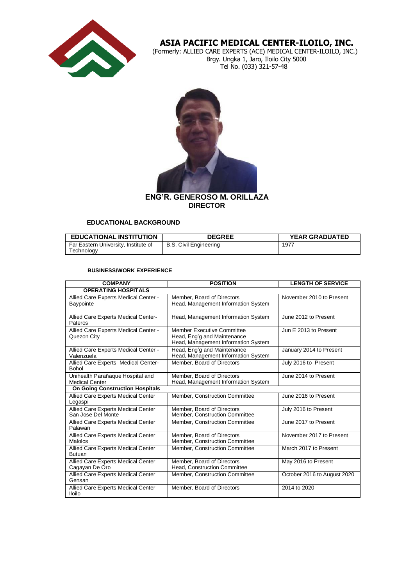![](_page_10_Picture_0.jpeg)

 (Formerly: ALLIED CARE EXPERTS (ACE) MEDICAL CENTER-ILOILO, INC.) Brgy. Ungka 1, Jaro, Iloilo City 5000 Tel No. (033) 321-57-48

![](_page_10_Picture_3.jpeg)

 **ENG'R. GENEROSO M. ORILLAZA DIRECTOR**

#### **EDUCATIONAL BACKGROUND**

| <b>EDUCATIONAL INSTITUTION</b>                     | <b>DEGREE</b>                 | <b>YEAR GRADUATED</b> |
|----------------------------------------------------|-------------------------------|-----------------------|
| Far Eastern University, Institute of<br>Technology | <b>B.S. Civil Engineering</b> | 1977                  |

| <b>COMPANY</b>                                                  | <b>POSITION</b>                                                                                         | <b>LENGTH OF SERVICE</b>    |
|-----------------------------------------------------------------|---------------------------------------------------------------------------------------------------------|-----------------------------|
| <b>OPERATING HOSPITALS</b>                                      |                                                                                                         |                             |
| Allied Care Experts Medical Center -<br>Baypointe               | Member, Board of Directors<br>Head, Management Information System                                       | November 2010 to Present    |
| <b>Allied Care Experts Medical Center-</b><br>Pateros           | Head, Management Information System                                                                     | June 2012 to Present        |
| Allied Care Experts Medical Center -<br>Quezon City             | <b>Member Executive Committee</b><br>Head, Eng'g and Maintenance<br>Head, Management Information System | Jun E 2013 to Present       |
| Allied Care Experts Medical Center -<br>Valenzuela              | Head, Eng'g and Maintenance<br>Head, Management Information System                                      | January 2014 to Present     |
| Allied Care Experts Medical Center-<br><b>Bohol</b>             | Member, Board of Directors                                                                              | July 2016 to Present        |
| Unihealth Parañaque Hospital and<br><b>Medical Center</b>       | Member, Board of Directors<br>Head, Management Information System                                       | June 2014 to Present        |
| <b>On Going Construction Hospitals</b>                          |                                                                                                         |                             |
| <b>Allied Care Experts Medical Center</b><br>Legaspi            | Member, Construction Committee                                                                          | June 2016 to Present        |
| <b>Allied Care Experts Medical Center</b><br>San Jose Del Monte | Member, Board of Directors<br>Member, Construction Committee                                            | July 2016 to Present        |
| <b>Allied Care Experts Medical Center</b><br>Palawan            | <b>Member, Construction Committee</b>                                                                   | June 2017 to Present        |
| <b>Allied Care Experts Medical Center</b><br>Malolos            | Member, Board of Directors<br>Member, Construction Committee                                            | November 2017 to Present    |
| Allied Care Experts Medical Center<br><b>Butuan</b>             | Member, Construction Committee                                                                          | March 2017 to Present       |
| Allied Care Experts Medical Center<br>Cagayan De Oro            | Member, Board of Directors<br><b>Head, Construction Committee</b>                                       | May 2016 to Present         |
| Allied Care Experts Medical Center<br>Gensan                    | <b>Member, Construction Committee</b>                                                                   | October 2016 to August 2020 |
| <b>Allied Care Experts Medical Center</b><br>lloilo             | Member, Board of Directors                                                                              | 2014 to 2020                |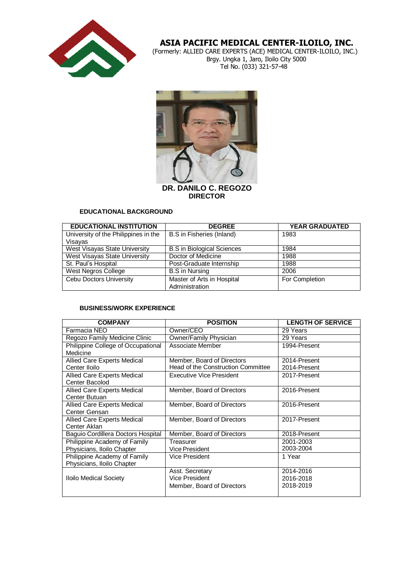![](_page_11_Picture_0.jpeg)

 (Formerly: ALLIED CARE EXPERTS (ACE) MEDICAL CENTER-ILOILO, INC.) Brgy. Ungka 1, Jaro, Iloilo City 5000 Tel No. (033) 321-57-48

![](_page_11_Picture_3.jpeg)

#### **EDUCATIONAL BACKGROUND**

| <b>EDUCATIONAL INSTITUTION</b>       | <b>DEGREE</b>                     | <b>YEAR GRADUATED</b> |
|--------------------------------------|-----------------------------------|-----------------------|
| University of the Philippines in the | B.S in Fisheries (Inland)         | 1983                  |
| Visayas                              |                                   |                       |
| West Visayas State University        | <b>B.S</b> in Biological Sciences | 1984                  |
| West Visayas State University        | Doctor of Medicine                | 1988                  |
| St. Paul's Hospital                  | Post-Graduate Internship          | 1988                  |
| <b>West Negros College</b>           | <b>B.S</b> in Nursing             | 2006                  |
| Cebu Doctors University              | Master of Arts in Hospital        | For Completion        |
|                                      | Administration                    |                       |

| <b>COMPANY</b>                     | <b>POSITION</b>                    | <b>LENGTH OF SERVICE</b> |
|------------------------------------|------------------------------------|--------------------------|
| Farmacia NEO                       | Owner/CEO                          | 29 Years                 |
| Regozo Family Medicine Clinic      | Owner/Family Physician             | 29 Years                 |
| Philippine College of Occupational | Associate Member                   | 1994-Present             |
| Medicine                           |                                    |                          |
| <b>Allied Care Experts Medical</b> | Member, Board of Directors         | 2014-Present             |
| Center Iloilo                      | Head of the Construction Committee | 2014-Present             |
| <b>Allied Care Experts Medical</b> | <b>Executive Vice President</b>    | 2017-Present             |
| Center Bacolod                     |                                    |                          |
| <b>Allied Care Experts Medical</b> | Member, Board of Directors         | 2016-Present             |
| Center Butuan                      |                                    |                          |
| <b>Allied Care Experts Medical</b> | Member, Board of Directors         | 2016-Present             |
| Center Gensan                      |                                    |                          |
| <b>Allied Care Experts Medical</b> | Member, Board of Directors         | 2017-Present             |
| Center Aklan                       |                                    |                          |
| Baguio Cordillera Doctors Hospital | Member, Board of Directors         | 2018-Present             |
| Philippine Academy of Family       | Treasurer                          | 2001-2003                |
| Physicians, Iloilo Chapter         | Vice President                     | 2003-2004                |
| Philippine Academy of Family       | Vice President                     | 1 Year                   |
| Physicians, Iloilo Chapter         |                                    |                          |
|                                    | Asst. Secretary                    | 2014-2016                |
| <b>Iloilo Medical Society</b>      | Vice President                     | 2016-2018                |
|                                    | Member, Board of Directors         | 2018-2019                |
|                                    |                                    |                          |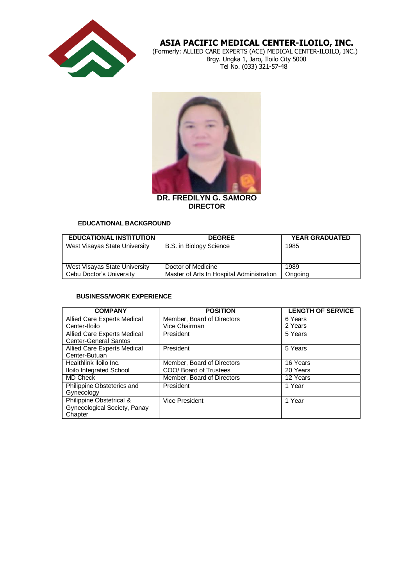![](_page_12_Picture_0.jpeg)

 (Formerly: ALLIED CARE EXPERTS (ACE) MEDICAL CENTER-ILOILO, INC.) Brgy. Ungka 1, Jaro, Iloilo City 5000 Tel No. (033) 321-57-48

![](_page_12_Picture_3.jpeg)

**DR. FREDILYN G. SAMORO DIRECTOR**

### **EDUCATIONAL BACKGROUND**

| <b>EDUCATIONAL INSTITUTION</b> | <b>DEGREE</b>                             | <b>YEAR GRADUATED</b> |
|--------------------------------|-------------------------------------------|-----------------------|
| West Visayas State University  | B.S. in Biology Science                   | 1985                  |
| West Visayas State University  | Doctor of Medicine                        | 1989                  |
| Cebu Doctor's University       | Master of Arts In Hospital Administration | Ongoing               |

| <b>COMPANY</b>                                              | <b>POSITION</b>            | <b>LENGTH OF SERVICE</b> |
|-------------------------------------------------------------|----------------------------|--------------------------|
| Allied Care Experts Medical                                 | Member, Board of Directors | 6 Years                  |
| Center-Iloilo                                               | Vice Chairman              | 2 Years                  |
| Allied Care Experts Medical<br><b>Center-General Santos</b> | President                  | 5 Years                  |
| Allied Care Experts Medical                                 | President                  | 5 Years                  |
| Center-Butuan                                               |                            |                          |
| Healthlink Iloilo Inc.                                      | Member, Board of Directors | 16 Years                 |
| Iloilo Integrated School                                    | COO/ Board of Trustees     | 20 Years                 |
| <b>MD Check</b>                                             | Member, Board of Directors | 12 Years                 |
| Philippine Obsteterics and<br>Gynecology                    | President                  | 1 Year                   |
| Philippine Obstetrical &                                    | Vice President             | 1 Year                   |
| Gynecological Society, Panay                                |                            |                          |
| Chapter                                                     |                            |                          |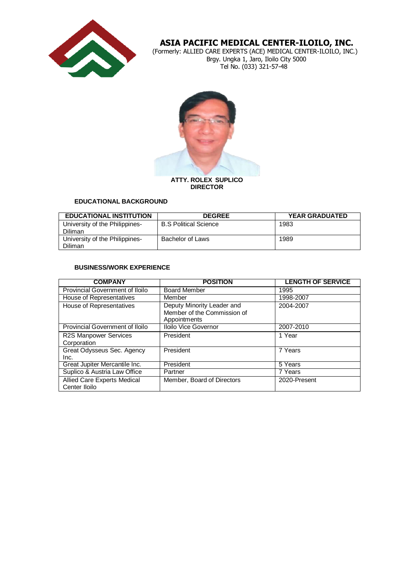![](_page_13_Picture_0.jpeg)

 (Formerly: ALLIED CARE EXPERTS (ACE) MEDICAL CENTER-ILOILO, INC.) Brgy. Ungka 1, Jaro, Iloilo City 5000 Tel No. (033) 321-57-48

![](_page_13_Picture_3.jpeg)

**DIRECTOR**

#### **EDUCATIONAL BACKGROUND**

| <b>EDUCATIONAL INSTITUTION</b>                   | <b>DEGREE</b>                | <b>YEAR GRADUATED</b> |
|--------------------------------------------------|------------------------------|-----------------------|
| University of the Philippines-<br><b>Diliman</b> | <b>B.S Political Science</b> | 1983                  |
| University of the Philippines-<br>Diliman        | Bachelor of Laws             | 1989                  |

| <b>COMPANY</b>                               | <b>POSITION</b>                                                           | <b>LENGTH OF SERVICE</b> |
|----------------------------------------------|---------------------------------------------------------------------------|--------------------------|
| Provincial Government of Iloilo              | <b>Board Member</b>                                                       | 1995                     |
| House of Representatives                     | Member                                                                    | 1998-2007                |
| House of Representatives                     | Deputy Minority Leader and<br>Member of the Commission of<br>Appointments | 2004-2007                |
| Provincial Government of Iloilo              | Iloilo Vice Governor                                                      | 2007-2010                |
| R2S Manpower Services<br>Corporation         | President                                                                 | 1 Year                   |
| Great Odysseus Sec. Agency<br>Inc.           | President                                                                 | 7 Years                  |
| Great Jupiter Mercantile Inc.                | President                                                                 | 5 Years                  |
| Suplico & Austria Law Office                 | Partner                                                                   | 7 Years                  |
| Allied Care Experts Medical<br>Center Iloilo | Member, Board of Directors                                                | 2020-Present             |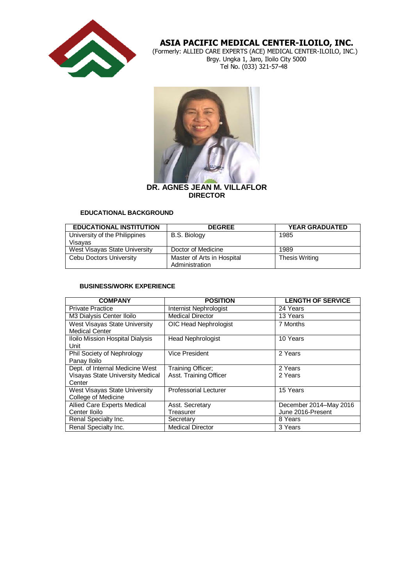![](_page_14_Picture_0.jpeg)

 (Formerly: ALLIED CARE EXPERTS (ACE) MEDICAL CENTER-ILOILO, INC.) Brgy. Ungka 1, Jaro, Iloilo City 5000 Tel No. (033) 321-57-48

![](_page_14_Picture_3.jpeg)

### **EDUCATIONAL BACKGROUND**

| <b>EDUCATIONAL INSTITUTION</b> | <b>DEGREE</b>              | <b>YEAR GRADUATED</b> |
|--------------------------------|----------------------------|-----------------------|
| University of the Philippines  | <b>B.S. Biology</b>        | 1985                  |
| Visayas                        |                            |                       |
| West Visayas State University  | Doctor of Medicine         | 1989                  |
| Cebu Doctors University        | Master of Arts in Hospital | <b>Thesis Writing</b> |
|                                | Administration             |                       |

| <b>COMPANY</b>                          | <b>POSITION</b>              | <b>LENGTH OF SERVICE</b> |
|-----------------------------------------|------------------------------|--------------------------|
| <b>Private Practice</b>                 | Internist Nephrologist       | 24 Years                 |
| M3 Dialysis Center Iloilo               | <b>Medical Director</b>      | 13 Years                 |
| West Visayas State University           | OIC Head Nephrologist        | 7 Months                 |
| <b>Medical Center</b>                   |                              |                          |
| Iloilo Mission Hospital Dialysis        | <b>Head Nephrologist</b>     | 10 Years                 |
| Unit                                    |                              |                          |
| Phil Society of Nephrology              | <b>Vice President</b>        | 2 Years                  |
| Panay Iloilo                            |                              |                          |
| Dept. of Internal Medicine West         | Training Officer;            | 2 Years                  |
| <b>Visayas State University Medical</b> | Asst. Training Officer       | 2 Years                  |
| Center                                  |                              |                          |
| West Visayas State University           | <b>Professorial Lecturer</b> | 15 Years                 |
| College of Medicine                     |                              |                          |
| Allied Care Experts Medical             | Asst. Secretary              | December 2014-May 2016   |
| Center Iloilo                           | Treasurer                    | June 2016-Present        |
| Renal Specialty Inc.                    | Secretary                    | 8 Years                  |
| Renal Specialty Inc.                    | <b>Medical Director</b>      | 3 Years                  |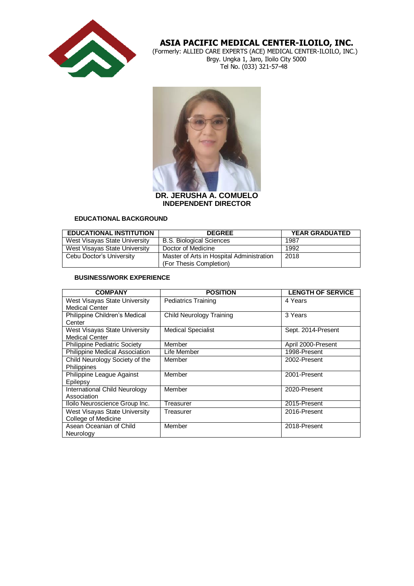![](_page_15_Picture_0.jpeg)

 (Formerly: ALLIED CARE EXPERTS (ACE) MEDICAL CENTER-ILOILO, INC.) Brgy. Ungka 1, Jaro, Iloilo City 5000 Tel No. (033) 321-57-48

![](_page_15_Picture_3.jpeg)

### **DR. JERUSHA A. COMUELO INDEPENDENT DIRECTOR**

### **EDUCATIONAL BACKGROUND**

| <b>EDUCATIONAL INSTITUTION</b> | <b>DEGREE</b>                             | <b>YEAR GRADUATED</b> |
|--------------------------------|-------------------------------------------|-----------------------|
| West Visayas State University  | <b>B.S. Biological Sciences</b>           | 1987                  |
| West Visayas State University  | Doctor of Medicine                        | 1992                  |
| Cebu Doctor's University       | Master of Arts in Hospital Administration | 2018                  |
|                                | (For Thesis Completion)                   |                       |

| <b>COMPANY</b>                                         | <b>POSITION</b>                 | <b>LENGTH OF SERVICE</b> |
|--------------------------------------------------------|---------------------------------|--------------------------|
| West Visayas State University<br><b>Medical Center</b> | <b>Pediatrics Training</b>      | 4 Years                  |
| Philippine Children's Medical<br>Center                | <b>Child Neurology Training</b> | 3 Years                  |
| West Visayas State University<br><b>Medical Center</b> | <b>Medical Specialist</b>       | Sept. 2014-Present       |
| <b>Philippine Pediatric Society</b>                    | Member                          | April 2000-Present       |
| Philippine Medical Association                         | Life Member                     | 1998-Present             |
| Child Neurology Society of the<br>Philippines          | Member                          | 2002-Present             |
| Philippine League Against<br>Epilepsy                  | Member                          | 2001-Present             |
| International Child Neurology<br>Association           | Member                          | 2020-Present             |
| Iloilo Neuroscience Group Inc.                         | Treasurer                       | 2015-Present             |
| West Visayas State University<br>College of Medicine   | Treasurer                       | 2016-Present             |
| Asean Oceanian of Child<br>Neurology                   | Member                          | 2018-Present             |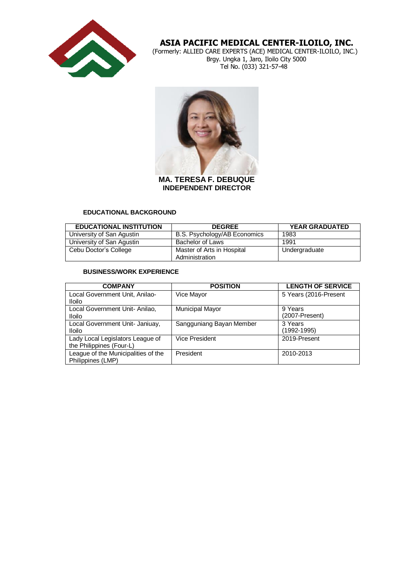![](_page_16_Picture_0.jpeg)

 (Formerly: ALLIED CARE EXPERTS (ACE) MEDICAL CENTER-ILOILO, INC.) Brgy. Ungka 1, Jaro, Iloilo City 5000 Tel No. (033) 321-57-48

![](_page_16_Picture_3.jpeg)

**MA. TERESA F. DEBUQUE INDEPENDENT DIRECTOR**

#### **EDUCATIONAL BACKGROUND**

| <b>EDUCATIONAL INSTITUTION</b> | <b>DEGREE</b>                                | <b>YEAR GRADUATED</b> |
|--------------------------------|----------------------------------------------|-----------------------|
| University of San Agustin      | B.S. Psychology/AB Economics                 | 1983                  |
| University of San Agustin      | Bachelor of Laws                             | 1991                  |
| Cebu Doctor's College          | Master of Arts in Hospital<br>Administration | Undergraduate         |

| <b>COMPANY</b>                                               | <b>POSITION</b>          | <b>LENGTH OF SERVICE</b>    |
|--------------------------------------------------------------|--------------------------|-----------------------------|
| Local Government Unit, Anilao-<br><b>Iloilo</b>              | Vice Mayor               | 5 Years (2016-Present       |
| Local Government Unit-Anilao,<br><b>Iloilo</b>               | <b>Municipal Mayor</b>   | 9 Years<br>$(2007-Present)$ |
| Local Government Unit- Janiuay,<br><b>Iloilo</b>             | Sangguniang Bayan Member | 3 Years<br>(1992-1995)      |
| Lady Local Legislators League of<br>the Philippines (Four-L) | <b>Vice President</b>    | 2019-Present                |
| League of the Municipalities of the<br>Philippines (LMP)     | President                | 2010-2013                   |